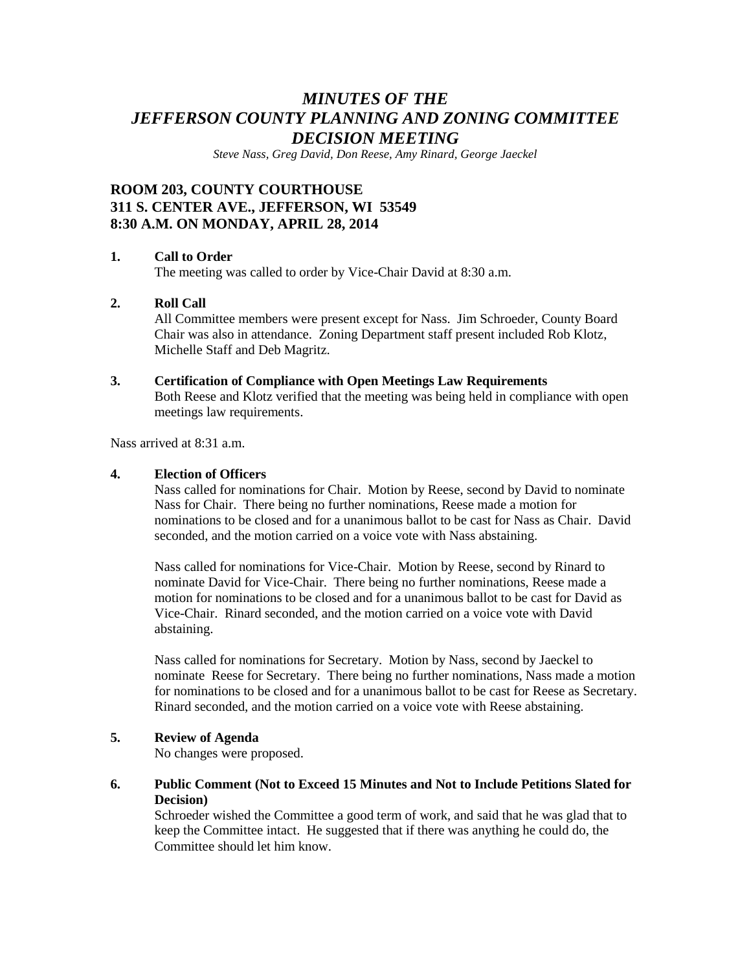# *MINUTES OF THE JEFFERSON COUNTY PLANNING AND ZONING COMMITTEE DECISION MEETING*

*Steve Nass, Greg David, Don Reese, Amy Rinard, George Jaeckel*

# **ROOM 203, COUNTY COURTHOUSE 311 S. CENTER AVE., JEFFERSON, WI 53549 8:30 A.M. ON MONDAY, APRIL 28, 2014**

# **1. Call to Order**

The meeting was called to order by Vice-Chair David at 8:30 a.m.

# **2. Roll Call**

All Committee members were present except for Nass. Jim Schroeder, County Board Chair was also in attendance. Zoning Department staff present included Rob Klotz, Michelle Staff and Deb Magritz.

#### **3. Certification of Compliance with Open Meetings Law Requirements**

Both Reese and Klotz verified that the meeting was being held in compliance with open meetings law requirements.

Nass arrived at  $8.31$  a.m.

#### **4. Election of Officers**

Nass called for nominations for Chair. Motion by Reese, second by David to nominate Nass for Chair. There being no further nominations, Reese made a motion for nominations to be closed and for a unanimous ballot to be cast for Nass as Chair. David seconded, and the motion carried on a voice vote with Nass abstaining.

Nass called for nominations for Vice-Chair. Motion by Reese, second by Rinard to nominate David for Vice-Chair. There being no further nominations, Reese made a motion for nominations to be closed and for a unanimous ballot to be cast for David as Vice-Chair. Rinard seconded, and the motion carried on a voice vote with David abstaining.

Nass called for nominations for Secretary. Motion by Nass, second by Jaeckel to nominate Reese for Secretary. There being no further nominations, Nass made a motion for nominations to be closed and for a unanimous ballot to be cast for Reese as Secretary. Rinard seconded, and the motion carried on a voice vote with Reese abstaining.

# **5. Review of Agenda**

No changes were proposed.

#### **6. Public Comment (Not to Exceed 15 Minutes and Not to Include Petitions Slated for Decision)**

Schroeder wished the Committee a good term of work, and said that he was glad that to keep the Committee intact. He suggested that if there was anything he could do, the Committee should let him know.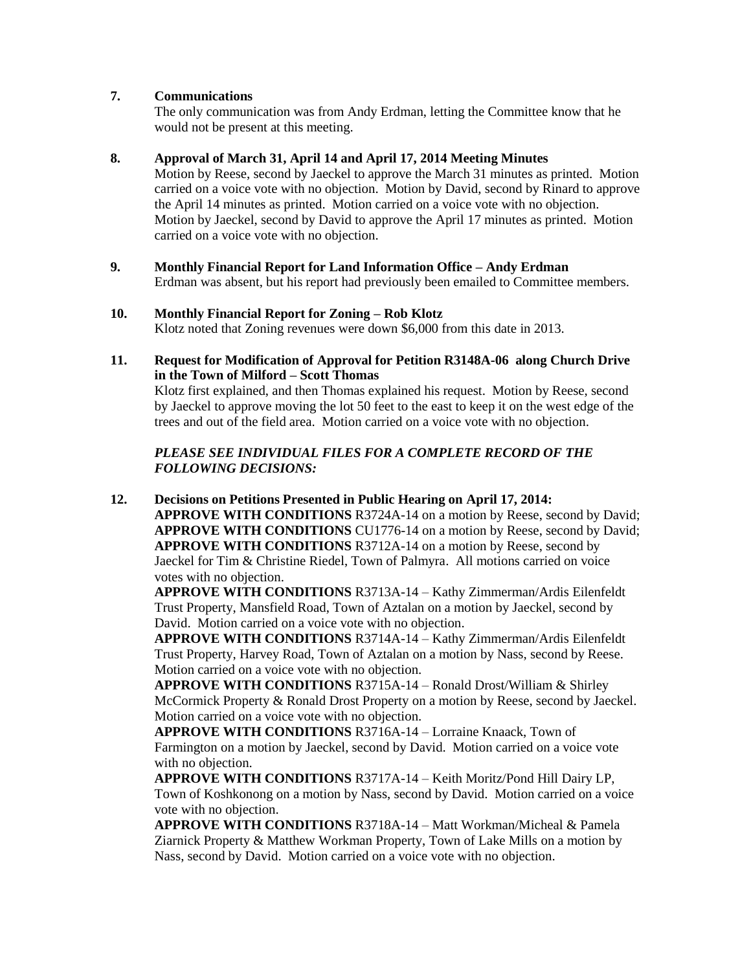# **7. Communications**

The only communication was from Andy Erdman, letting the Committee know that he would not be present at this meeting.

#### **8. Approval of March 31, April 14 and April 17, 2014 Meeting Minutes**

Motion by Reese, second by Jaeckel to approve the March 31 minutes as printed. Motion carried on a voice vote with no objection. Motion by David, second by Rinard to approve the April 14 minutes as printed. Motion carried on a voice vote with no objection. Motion by Jaeckel, second by David to approve the April 17 minutes as printed. Motion carried on a voice vote with no objection.

**9. Monthly Financial Report for Land Information Office – Andy Erdman** Erdman was absent, but his report had previously been emailed to Committee members.

#### **10. Monthly Financial Report for Zoning – Rob Klotz** Klotz noted that Zoning revenues were down \$6,000 from this date in 2013.

**11. Request for Modification of Approval for Petition R3148A-06 along Church Drive in the Town of Milford – Scott Thomas**

Klotz first explained, and then Thomas explained his request. Motion by Reese, second by Jaeckel to approve moving the lot 50 feet to the east to keep it on the west edge of the trees and out of the field area. Motion carried on a voice vote with no objection.

# *PLEASE SEE INDIVIDUAL FILES FOR A COMPLETE RECORD OF THE FOLLOWING DECISIONS:*

**12. Decisions on Petitions Presented in Public Hearing on April 17, 2014: APPROVE WITH CONDITIONS** R3724A-14 on a motion by Reese, second by David; **APPROVE WITH CONDITIONS** CU1776-14 on a motion by Reese, second by David; **APPROVE WITH CONDITIONS** R3712A-14 on a motion by Reese, second by Jaeckel for Tim & Christine Riedel, Town of Palmyra. All motions carried on voice votes with no objection.

**APPROVE WITH CONDITIONS** R3713A-14 – Kathy Zimmerman/Ardis Eilenfeldt Trust Property, Mansfield Road, Town of Aztalan on a motion by Jaeckel, second by David. Motion carried on a voice vote with no objection.

**APPROVE WITH CONDITIONS** R3714A-14 – Kathy Zimmerman/Ardis Eilenfeldt Trust Property, Harvey Road, Town of Aztalan on a motion by Nass, second by Reese. Motion carried on a voice vote with no objection.

**APPROVE WITH CONDITIONS** R3715A-14 – Ronald Drost/William & Shirley McCormick Property & Ronald Drost Property on a motion by Reese, second by Jaeckel. Motion carried on a voice vote with no objection.

**APPROVE WITH CONDITIONS** R3716A-14 – Lorraine Knaack, Town of Farmington on a motion by Jaeckel, second by David. Motion carried on a voice vote with no objection.

**APPROVE WITH CONDITIONS** R3717A-14 – Keith Moritz/Pond Hill Dairy LP, Town of Koshkonong on a motion by Nass, second by David. Motion carried on a voice vote with no objection.

**APPROVE WITH CONDITIONS** R3718A-14 – Matt Workman/Micheal & Pamela Ziarnick Property & Matthew Workman Property, Town of Lake Mills on a motion by Nass, second by David. Motion carried on a voice vote with no objection.